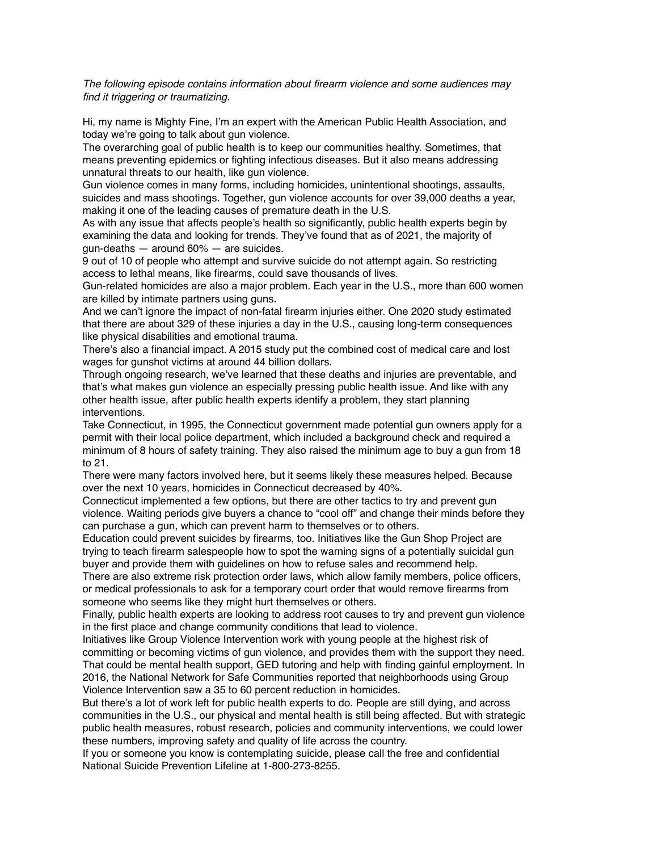*The following episode contains information about firearm violence and some audiences may find it triggering or traumatizing.* 

 Hi, my name is Mighty Fine, I'm an expert with the American Public Health Association, and today we're going to talk about gun violence.

 The overarching goal of public health is to keep our communities healthy. Sometimes, that means preventing epidemics or fighting infectious diseases. But it also means addressing unnatural threats to our health, like gun violence.

 Gun violence comes in many forms, including homicides, unintentional shootings, assaults, suicides and mass shootings. Together, gun violence accounts for over 39,000 deaths a year, making it one of the leading causes of premature death in the U.S.

 As with any issue that affects people's health so significantly, public health experts begin by examining the data and looking for trends. They've found that as of 2021, the majority of gun-deaths — around 60% — are suicides.

 9 out of 10 of people who attempt and survive suicide do not attempt again. So restricting access to lethal means, like firearms, could save thousands of lives.

 Gun-related homicides are also a major problem. Each year in the U.S., more than 600 women are killed by intimate partners using guns.

 And we can't ignore the impact of non-fatal firearm injuries either. One 2020 study estimated that there are about 329 of these injuries a day in the U.S., causing long-term consequences like physical disabilities and emotional trauma.

 There's also a financial impact. A 2015 study put the combined cost of medical care and lost wages for gunshot victims at around 44 billion dollars.

 Through ongoing research, we've learned that these deaths and injuries are preventable, and that's what makes gun violence an especially pressing public health issue. And like with any other health issue, after public health experts identify a problem, they start planning interventions.

 Take Connecticut, in 1995, the Connecticut government made potential gun owners apply for a permit with their local police department, which included a background check and required a minimum of 8 hours of safety training. They also raised the minimum age to buy a gun from 18 to 21.

 There were many factors involved here, but it seems likely these measures helped. Because over the next 10 years, homicides in Connecticut decreased by 40%.

 Connecticut implemented a few options, but there are other tactics to try and prevent gun violence. Waiting periods give buyers a chance to "cool off" and change their minds before they can purchase a gun, which can prevent harm to themselves or to others.

 Education could prevent suicides by firearms, too. Initiatives like the Gun Shop Project are trying to teach firearm salespeople how to spot the warning signs of a potentially suicidal gun buyer and provide them with guidelines on how to refuse sales and recommend help.

 There are also extreme risk protection order laws, which allow family members, police officers, or medical professionals to ask for a temporary court order that would remove firearms from someone who seems like they might hurt themselves or others.

 Finally, public health experts are looking to address root causes to try and prevent gun violence in the first place and change community conditions that lead to violence.

 Initiatives like Group Violence Intervention work with young people at the highest risk of committing or becoming victims of gun violence, and provides them with the support they need. That could be mental health support, GED tutoring and help with finding gainful employment. In 2016, the National Network for Safe Communities reported that neighborhoods using Group Violence Intervention saw a 35 to 60 percent reduction in homicides.

 But there's a lot of work left for public health experts to do. People are still dying, and across communities in the U.S., our physical and mental health is still being affected. But with strategic public health measures, robust research, policies and community interventions, we could lower these numbers, improving safety and quality of life across the country.

 If you or someone you know is contemplating suicide, please call the free and confidential National Suicide Prevention Lifeline at 1-800-273-8255.